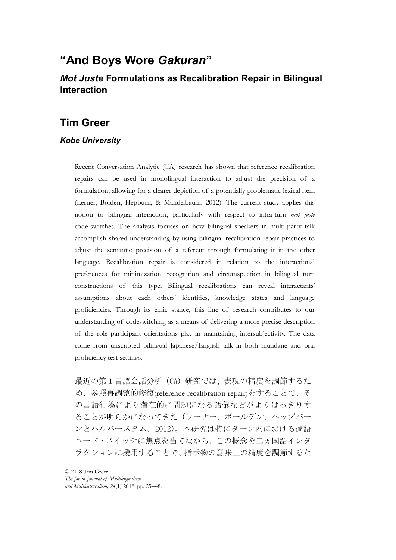# "**And Boys Wore** *Gakuran*"

## *Mot Juste* **Formulations as Recalibration Repair in Bilingual Interaction**

## **Tim Greer**

### *Kobe University*

Recent Conversation Analytic (CA) research has shown that reference recalibration repairs can be used in monolingual interaction to adjust the precision of a formulation, allowing for a clearer depiction of a potentially problematic lexical item (Lerner, Bolden, Hepburn, & Mandelbaum, 2012). The current study applies this notion to bilingual interaction, particularly with respect to intra-turn mot juste code-switches. The analysis focuses on how bilingual speakers in multi-party talk accomplish shared understanding by using bilingual recalibration repair practices to adjust the semantic precision of a referent through formulating it in the other language. Recalibration repair is considered in relation to the interactional preferences for minimization, recognition and circumspection in bilingual turn constructions of this type. Bilingual recalibrations can reveal interactants' assumptions about each others' identities, knowledge states and language proficiencies. Through its emic stance, this line of research contributes to our understanding of codeswitching as a means of delivering a more precise description of the role participant orientations play in maintaining intersubjectivity. The data come from unscripted bilingual Japanese/English talk in both mundane and oral proficiency test settings.

最近の第1言語会話分析 (CA) 研究では、表現の精度を調節するた め、参照再調整的修復(reference recalibration repair)をすることで、そ の言語行為により潜在的に問題になる語彙などがよりはっきりす ることが明らかになってきた(ラーナー、ボールデン、ヘップバー ンとハルバースタム、2012)。本研究は特にターン内における適語 コード・スイッチに焦点を当てながら、この概念を二ヵ国語インタ ラクションに援用することで、指示物の意味上の精度を調節するた

© 2018 Tim Greer The Japan Journal of Multilingualism and Multiculturalism, 24(1) 2018, pp. 25–48.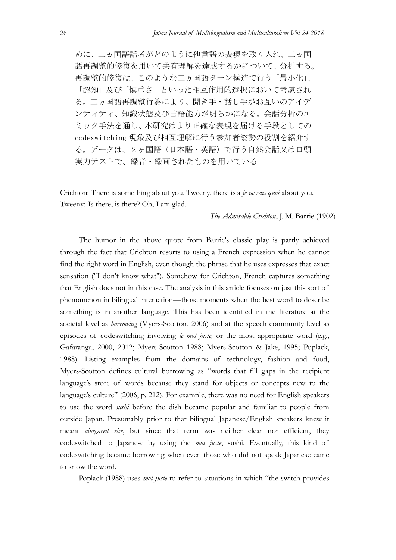めに、二ヵ国語話者がどのように他言語の表現を取り入れ、二ヵ国 語再調整的修復を用いて共有理解を達成するかについて、分析する。 再調整的修復は、このような二ヵ国語ターン構造で行う「最小化」、 「認知」及び「慎重さ」といった相互作用的選択において考慮され る。二ヵ国語再調整行為により、聞き手·話し手がお互いのアイデ ンティティ、知識状態及び言語能力が明らかになる。会話分析のエ ミック手法を通し、本研究はより正確な表現を届ける手段としての codeswitching 現象及び相互理解に行う参加者姿勢の役割を紹介す る。データは、2ヶ国語(日本語·英語)で行う自然会話又は口頭 実力テストで、録音・録画されたものを用いている

Crichton: There is something about you, Tweeny, there is a *je ne sais quoi* about you. Tweeny: Is there, is there? Oh, I am glad.

#### The Admirable Crichton, J. M. Barrie (1902)

The humor in the above quote from Barrie's classic play is partly achieved through the fact that Crichton resorts to using a French expression when he cannot find the right word in English, even though the phrase that he uses expresses that exact sensation ("I don't know what"). Somehow for Crichton, French captures something that English does not in this case. The analysis in this article focuses on just this sort of phenomenon in bilingual interaction—those moments when the best word to describe something is in another language. This has been identified in the literature at the societal level as *borrowing* (Myers-Scotton, 2006) and at the speech community level as episodes of codeswitching involving *le mot juste*, or the most appropriate word (e.g., Gafaranga, 2000, 2012; Myers-Scotton 1988; Myers-Scotton & Jake, 1995; Poplack, 1988). Listing examples from the domains of technology, fashion and food, Myers-Scotton defines cultural borrowing as "words that fill gaps in the recipient language's store of words because they stand for objects or concepts new to the language's culture" (2006, p. 212). For example, there was no need for English speakers to use the word sushi before the dish became popular and familiar to people from outside Japan. Presumably prior to that bilingual Japanese/English speakers knew it meant vinegared rice, but since that term was neither clear nor efficient, they codeswitched to Japanese by using the mot juste, sushi. Eventually, this kind of codeswitching became borrowing when even those who did not speak Japanese came to know the word.

Poplack (1988) uses *mot juste* to refer to situations in which "the switch provides"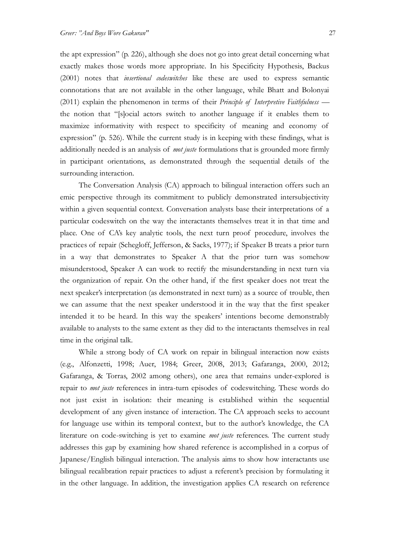the apt expression" (p. 226), although she does not go into great detail concerning what exactly makes those words more appropriate. In his Specificity Hypothesis, Backus (2001) notes that insertional codeswitches like these are used to express semantic connotations that are not available in the other language, while Bhatt and Bolonyai (2011) explain the phenomenon in terms of their *Principle of Interpretive Faithfulness* the notion that "[s]ocial actors switch to another language if it enables them to maximize informativity with respect to specificity of meaning and economy of expression" (p. 526). While the current study is in keeping with these findings, what is additionally needed is an analysis of *mot juste* formulations that is grounded more firmly in participant orientations, as demonstrated through the sequential details of the surrounding interaction.

The Conversation Analysis (CA) approach to bilingual interaction offers such an emic perspective through its commitment to publicly demonstrated intersubjectivity within a given sequential context. Conversation analysts base their interpretations of a particular codeswitch on the way the interactants themselves treat it in that time and place. One of CA's key analytic tools, the next turn proof procedure, involves the practices of repair (Schegloff, Jefferson, & Sacks, 1977); if Speaker B treats a prior turn in a way that demonstrates to Speaker A that the prior turn was somehow misunderstood, Speaker A can work to rectify the misunderstanding in next turn via the organization of repair. On the other hand, if the first speaker does not treat the next speaker's interpretation (as demonstrated in next turn) as a source of trouble, then we can assume that the next speaker understood it in the way that the first speaker intended it to be heard. In this way the speakers' intentions become demonstrably available to analysts to the same extent as they did to the interactants themselves in real time in the original talk.

While a strong body of CA work on repair in bilingual interaction now exists (e.g., Alfonzetti, 1998; Auer, 1984; Greer, 2008, 2013; Gafaranga, 2000, 2012; Gafaranga, & Torras, 2002 among others), one area that remains under-explored is repair to mot juste references in intra-turn episodes of codeswitching. These words do not just exist in isolation: their meaning is established within the sequential development of any given instance of interaction. The CA approach seeks to account for language use within its temporal context, but to the author's knowledge, the CA literature on code-switching is yet to examine *mot juste* references. The current study addresses this gap by examining how shared reference is accomplished in a corpus of Japanese/English bilingual interaction. The analysis aims to show how interactants use bilingual recalibration repair practices to adjust a referent's precision by formulating it in the other language. In addition, the investigation applies CA research on reference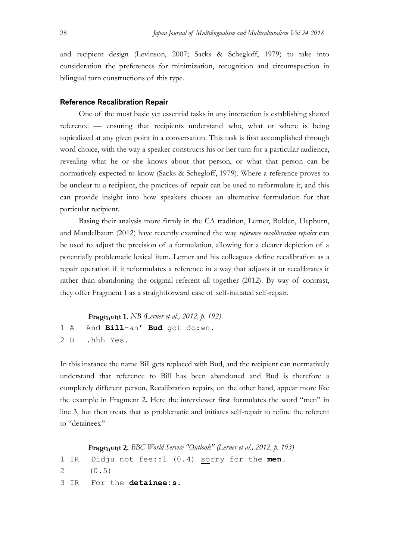and recipient design (Levinson, 2007; Sacks & Schegloff, 1979) to take into consideration the preferences for minimization, recognition and circumspection in bilingual turn constructions of this type.

#### **Reference Recalibration Repair**

One of the most basic yet essential tasks in any interaction is establishing shared reference — ensuring that recipients understand who, what or where is being topicalized at any given point in a conversation. This task is first accomplished through word choice, with the way a speaker constructs his or her turn for a particular audience, revealing what he or she knows about that person, or what that person can be normatively expected to know (Sacks & Schegloff, 1979). Where a reference proves to be unclear to a recipient, the practices of repair can be used to reformulate it, and this can provide insight into how speakers choose an alternative formulation for that particular recipient.

Basing their analysis more firmly in the CA tradition, Lerner, Bolden, Hepburn, and Mandelbaum (2012) have recently examined the way reference recalibration repairs can be used to adjust the precision of a formulation, allowing for a clearer depiction of a potentially problematic lexical item. Lerner and his colleagues define recalibration as a repair operation if it reformulates a reference in a way that adjusts it or recalibrates it rather than abandoning the original referent all together (2012). By way of contrast, they offer Fragment 1 as a straightforward case of self-initiated self-repair.

Fragment 1. NB (Lerner et al., 2012, p. 192) 1 A And Bill-an' Bud got do:wn. 2 B .hhh Yes.

In this instance the name Bill gets replaced with Bud, and the recipient can normatively understand that reference to Bill has been abandoned and Bud is therefore a completely different person. Recalibration repairs, on the other hand, appear more like the example in Fragment 2. Here the interviewer first formulates the word "men" in line 3, but then treats that as problematic and initiates self-repair to refine the referent to "detainees."

```
Fragment 2. BBC World Service "Outlook" (Lerner et al., 2012, p. 193)
1 IR Didju not fee: : 1 (0.4) sorry for the men.
2 (0.5)
3 IR For the detainee: s.
```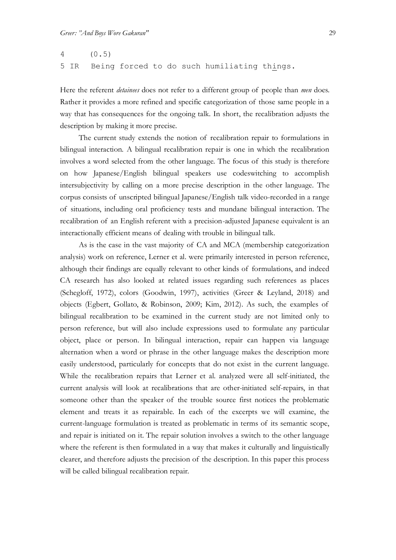## 4 (0.5) 5 IR Being forced to do such humiliating things.

Here the referent *detainees* does not refer to a different group of people than *men* does. Rather it provides a more refined and specific categorization of those same people in a way that has consequences for the ongoing talk. In short, the recalibration adjusts the description by making it more precise.

The current study extends the notion of recalibration repair to formulations in bilingual interaction. A bilingual recalibration repair is one in which the recalibration involves a word selected from the other language. The focus of this study is therefore on how Japanese/English bilingual speakers use codeswitching to accomplish intersubjectivity by calling on a more precise description in the other language. The corpus consists of unscripted bilingual Japanese/English talk video-recorded in a range of situations, including oral proficiency tests and mundane bilingual interaction. The recalibration of an English referent with a precision-adjusted Japanese equivalent is an interactionally efficient means of dealing with trouble in bilingual talk.

As is the case in the vast majority of CA and MCA (membership categorization analysis) work on reference, Lerner et al. were primarily interested in person reference, although their findings are equally relevant to other kinds of formulations, and indeed CA research has also looked at related issues regarding such references as places (Schegloff, 1972), colors (Goodwin, 1997), activities (Greer & Leyland, 2018) and objects (Egbert, Gollato, & Robinson, 2009; Kim, 2012). As such, the examples of bilingual recalibration to be examined in the current study are not limited only to person reference, but will also include expressions used to formulate any particular object, place or person. In bilingual interaction, repair can happen via language alternation when a word or phrase in the other language makes the description more easily understood, particularly for concepts that do not exist in the current language. While the recalibration repairs that Lerner et al. analyzed were all self-initiated, the current analysis will look at recalibrations that are other-initiated self-repairs, in that someone other than the speaker of the trouble source first notices the problematic element and treats it as repairable. In each of the excerpts we will examine, the current-language formulation is treated as problematic in terms of its semantic scope, and repair is initiated on it. The repair solution involves a switch to the other language where the referent is then formulated in a way that makes it culturally and linguistically clearer, and therefore adjusts the precision of the description. In this paper this process will be called bilingual recalibration repair.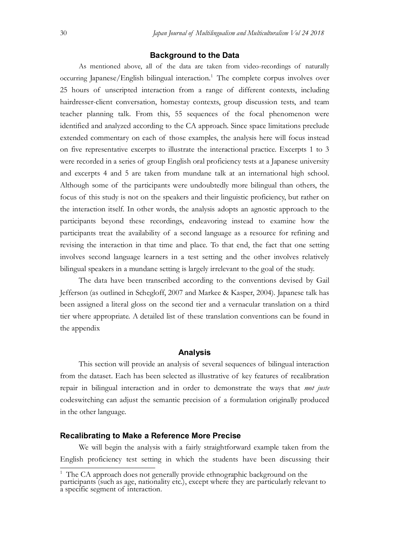#### **Background to the Data**

As mentioned above, all of the data are taken from video-recordings of naturally occurring Japanese/English bilingual interaction.<sup>1</sup> The complete corpus involves over 25 hours of unscripted interaction from a range of different contexts, including hairdresser-client conversation, homestay contexts, group discussion tests, and team teacher planning talk. From this, 55 sequences of the focal phenomenon were identified and analyzed according to the CA approach. Since space limitations preclude extended commentary on each of those examples, the analysis here will focus instead on five representative excerpts to illustrate the interactional practice. Excerpts 1 to 3 were recorded in a series of group English oral proficiency tests at a Japanese university and excerpts 4 and 5 are taken from mundane talk at an international high school. Although some of the participants were undoubtedly more bilingual than others, the focus of this study is not on the speakers and their linguistic proficiency, but rather on the interaction itself. In other words, the analysis adopts an agnostic approach to the participants beyond these recordings, endeavoring instead to examine how the participants treat the availability of a second language as a resource for refining and revising the interaction in that time and place. To that end, the fact that one setting involves second language learners in a test setting and the other involves relatively bilingual speakers in a mundane setting is largely irrelevant to the goal of the study.

The data have been transcribed according to the conventions devised by Gail Jefferson (as outlined in Schegloff, 2007 and Markee & Kasper, 2004). Japanese talk has been assigned a literal gloss on the second tier and a vernacular translation on a third tier where appropriate. A detailed list of these translation conventions can be found in the appendix

#### **Analysis**

This section will provide an analysis of several sequences of bilingual interaction from the dataset. Each has been selected as illustrative of key features of recalibration repair in bilingual interaction and in order to demonstrate the ways that *mot juste* codeswitching can adjust the semantic precision of a formulation originally produced in the other language.

#### **Recalibrating to Make a Reference More Precise**

We will begin the analysis with a fairly straightforward example taken from the English proficiency test setting in which the students have been discussing their

<sup>&</sup>lt;sup>1</sup> The CA approach does not generally provide ethnographic background on the participants (such as age, nationality etc.), except where they are particularly relevant to a specific segment of interaction.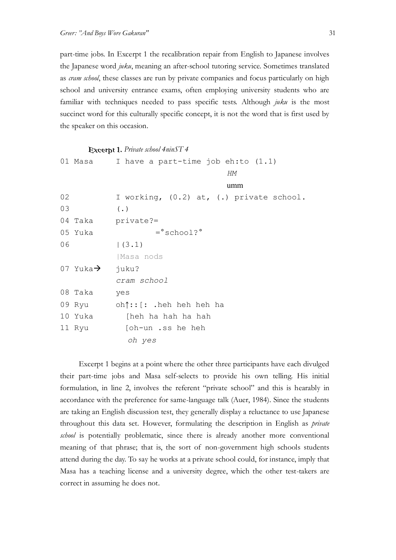part-time jobs. In Excerpt 1 the recalibration repair from English to Japanese involves the Japanese word juku, meaning an after-school tutoring service. Sometimes translated as *cram school*, these classes are run by private companies and focus particularly on high school and university entrance exams, often employing university students who are familiar with techniques needed to pass specific tests. Although  $juku$  is the most succinct word for this culturally specific concept, it is not the word that is first used by the speaker on this occasion.

Excerpt 1. Private school 4ninST 4 01 Masa I have a part-time job eh:to (1.1) HM umm 02 I working, (0.2) at, (.) private school. 03 (.) 04 Taka private?=<br>05 Yuka = school? 05 Yuka  $06$  |(3.1) |Masa nods 07 Yuka $\rightarrow$  juku? cram school 08 Taka yes 09 Ryu oh $\dagger$ :: [: .heh heh heh ha 10 Yuka [heh ha hah ha hah 11 Ryu [oh-un .ss he heh oh yes

Excerpt 1 begins at a point where the other three participants have each divulged their part-time jobs and Masa self-selects to provide his own telling. His initial formulation, in line 2, involves the referent "private school" and this is hearably in accordance with the preference for same-language talk (Auer, 1984). Since the students are taking an English discussion test, they generally display a reluctance to use Japanese throughout this data set. However, formulating the description in English as private school is potentially problematic, since there is already another more conventional meaning of that phrase; that is, the sort of non-government high schools students attend during the day. To say he works at a private school could, for instance, imply that Masa has a teaching license and a university degree, which the other test-takers are correct in assuming he does not.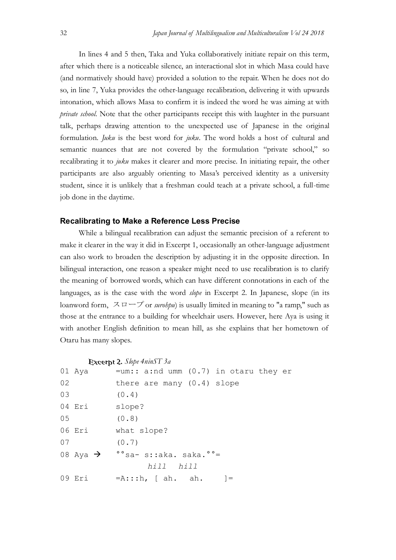In lines 4 and 5 then, Taka and Yuka collaboratively initiate repair on this term, after which there is a noticeable silence, an interactional slot in which Masa could have (and normatively should have) provided a solution to the repair. When he does not do so, in line 7, Yuka provides the other-language recalibration, delivering it with upwards intonation, which allows Masa to confirm it is indeed the word he was aiming at with private school. Note that the other participants receipt this with laughter in the pursuant talk, perhaps drawing attention to the unexpected use of Japanese in the original formulation. *Juku* is the best word for *juku*. The word holds a host of cultural and semantic nuances that are not covered by the formulation "private school," so recalibrating it to juku makes it clearer and more precise. In initiating repair, the other participants are also arguably orienting to Masa's perceived identity as a university student, since it is unlikely that a freshman could teach at a private school, a full-time job done in the daytime.

#### **Recalibrating to Make a Reference Less Precise**

While a bilingual recalibration can adjust the semantic precision of a referent to make it clearer in the way it did in Excerpt 1, occasionally an other-language adjustment can also work to broaden the description by adjusting it in the opposite direction. In bilingual interaction, one reason a speaker might need to use recalibration is to clarify the meaning of borrowed words, which can have different connotations in each of the languages, as is the case with the word *slope* in Excerpt 2. In Japanese, slope (in its loanword form,  $\lambda \Box \Box \Box$  or *surohpu*) is usually limited in meaning to "a ramp," such as those at the entrance to a building for wheelchair users. However, here Aya is using it with another English definition to mean hill, as she explains that her hometown of Otaru has many slopes.

#### Excerpt 2. Slope 4ninST 3a

|    | 01 Aya | $=$ um:: a:nd umm $(0.7)$ in otaru they er                   |
|----|--------|--------------------------------------------------------------|
| 02 |        | there are many (0.4) slope                                   |
| 03 |        | (0.4)                                                        |
|    | 04 Eri | slope?                                                       |
| 05 |        | (0.8)                                                        |
|    | 06 Eri | what slope?                                                  |
| 07 |        | (0.7)                                                        |
|    |        | 08 Aya $\rightarrow$ $\degree$ sa- s::aka. saka. $\degree$ = |
|    |        | hill hill                                                    |
|    | 09 Eri | $= A: : :h, [ah. ah.$                                        |
|    |        |                                                              |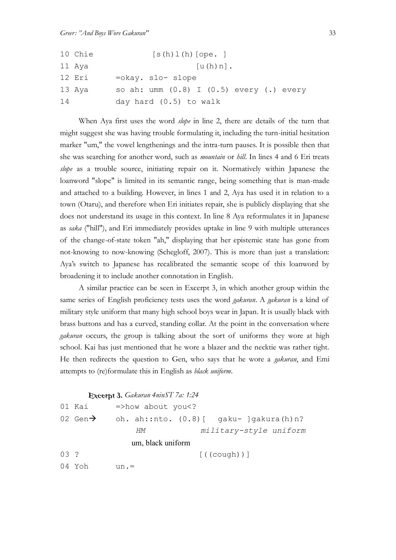|    | 10 Chie | $[s(h) 1(h)$ [ope. ]                           |  |  |  |  |  |  |  |
|----|---------|------------------------------------------------|--|--|--|--|--|--|--|
|    | 11 Aya  | $[u(h) n]$ .                                   |  |  |  |  |  |  |  |
|    | 12 Eri  | =okay. slo- slope                              |  |  |  |  |  |  |  |
|    | 13 Aya  | so ah: umm $(0.8)$ I $(0.5)$ every $(.)$ every |  |  |  |  |  |  |  |
| 14 |         | day hard (0.5) to walk                         |  |  |  |  |  |  |  |

When Aya first uses the word *slope* in line 2, there are details of the turn that might suggest she was having trouble formulating it, including the turn-initial hesitation marker "um," the vowel lengthenings and the intra-turn pauses. It is possible then that she was searching for another word, such as *mountain* or *hill*. In lines 4 and 6 Eri treats slope as a trouble source, initiating repair on it. Normatively within Japanese the loanword "slope" is limited in its semantic range, being something that is man-made and attached to a building. However, in lines 1 and 2, Aya has used it in relation to a town (Otaru), and therefore when Eri initiates repair, she is publicly displaying that she does not understand its usage in this context. In line 8 Aya reformulates it in Japanese as saka ("hill"), and Eri immediately provides uptake in line 9 with multiple utterances of the change-of-state token "ah," displaying that her epistemic state has gone from not-knowing to now-knowing (Schegloff, 2007). This is more than just a translation: Aya's switch to Japanese has recalibrated the semantic scope of this loanword by broadening it to include another connotation in English.

A similar practice can be seen in Excerpt 3, in which another group within the same series of English proficiency tests uses the word *gakuran*. A *gakuran* is a kind of military style uniform that many high school boys wear in Japan. It is usually black with brass buttons and has a curved, standing collar. At the point in the conversation where gakuran occurs, the group is talking about the sort of uniforms they wore at high school. Kai has just mentioned that he wore a blazer and the necktie was rather tight. He then redirects the question to Gen, who says that he wore a *gakuran*, and Emi attempts to (re)formulate this in English as black uniform.

#### Excerpt 3. Gakuran 4ninST 7a: 1:24

|         | 01 Kai               | $\Rightarrow$ how about you </th <th></th> |                                               |
|---------|----------------------|--------------------------------------------|-----------------------------------------------|
|         | 02 Gen $\rightarrow$ |                                            | oh. ah::nto. $(0.8)$ [ gaku- ]gakura $(h)n$ ? |
|         |                      | HМ                                         | military-style uniform                        |
|         |                      | um, black uniform                          |                                               |
| $0.3$ ? |                      |                                            | $[(\text{(cough)})]$                          |
|         | 04 Yoh               | $un =$                                     |                                               |
|         |                      |                                            |                                               |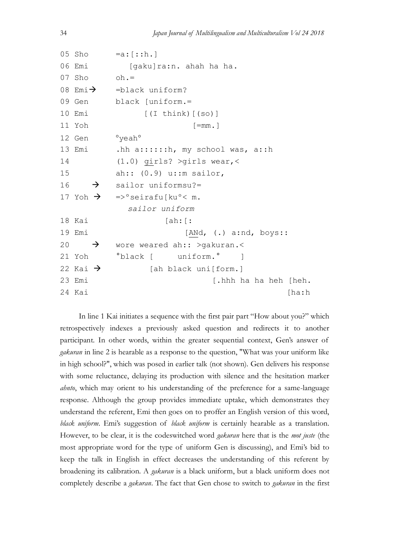```
05 Sho =a:[::h.]06 Emi [gaku]ra:n. ahah ha ha.
07 Sho oh =08 Emi\rightarrow =black uniform?
09 Gen black [uniform.=
10 Emi [(I think) [(so)]
11 Yoh [=mm.]
12 Gen <sup>o</sup>yeah<sup>o</sup>
13 Emi .hh a::::::h, my school was, a::h
14 (1.0) girls? >girls wear,< 
15 ah:: (0.9) u::m sailor, 
16 \rightarrow sailor uniformsu?=
17 Yoh \rightarrow =>° seirafulku° < m.
             sailor uniform
18 Kai [ah: [:
19 Emi [ANd, (.) a:nd, boys:: 
20 \rightarrow wore weared ah:: >qakuran.<
21 Yoh <sup>°</sup>black [ uniform.<sup>°</sup> ]
22 Kai \rightarrow [ah black uni[form.]
23 Emi [.hhh ha ha heh [heh.
24 Kai [ha:h
```
In line 1 Kai initiates a sequence with the first pair part "How about you?" which retrospectively indexes a previously asked question and redirects it to another participant. In other words, within the greater sequential context, Gen's answer of gakuran in line 2 is hearable as a response to the question, "What was your uniform like in high school?", which was posed in earlier talk (not shown). Gen delivers his response with some reluctance, delaying its production with silence and the hesitation marker *ahnto*, which may orient to his understanding of the preference for a same-language response. Although the group provides immediate uptake, which demonstrates they understand the referent, Emi then goes on to proffer an English version of this word, black uniform. Emi's suggestion of black uniform is certainly hearable as a translation. However, to be clear, it is the codeswitched word *gakuran* here that is the *mot juste* (the most appropriate word for the type of uniform Gen is discussing), and Emi's bid to keep the talk in English in effect decreases the understanding of this referent by broadening its calibration. A gakuran is a black uniform, but a black uniform does not completely describe a gakuran. The fact that Gen chose to switch to gakuran in the first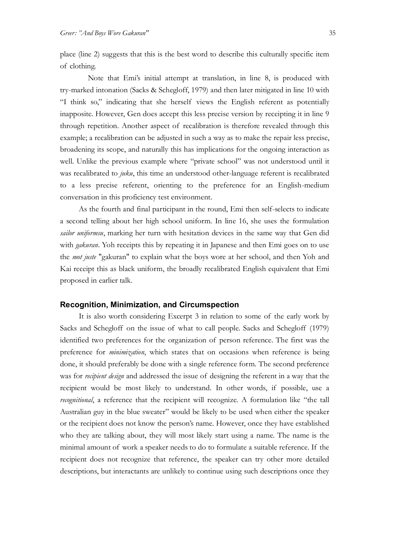place (line 2) suggests that this is the best word to describe this culturally specific item of clothing.

Note that Emi's initial attempt at translation, in line 8, is produced with try-marked intonation (Sacks & Schegloff, 1979) and then later mitigated in line 10 with "I think so," indicating that she herself views the English referent as potentially inapposite. However, Gen does accept this less precise version by receipting it in line 9 through repetition. Another aspect of recalibration is therefore revealed through this example; a recalibration can be adjusted in such a way as to make the repair less precise, broadening its scope, and naturally this has implications for the ongoing interaction as well. Unlike the previous example where "private school" was not understood until it was recalibrated to  $juku$ , this time an understood other-language referent is recalibrated to a less precise referent, orienting to the preference for an English-medium conversation in this proficiency test environment.

As the fourth and final participant in the round, Emi then self-selects to indicate a second telling about her high school uniform. In line 16, she uses the formulation sailor uniformsu, marking her turn with hesitation devices in the same way that Gen did with *gakuran*. Yoh receipts this by repeating it in Japanese and then Emi goes on to use the *mot juste* "gakuran" to explain what the boys wore at her school, and then Yoh and Kai receipt this as black uniform, the broadly recalibrated English equivalent that Emi proposed in earlier talk.

#### **Recognition, Minimization, and Circumspection**

It is also worth considering Excerpt 3 in relation to some of the early work by Sacks and Schegloff on the issue of what to call people. Sacks and Schegloff (1979) identified two preferences for the organization of person reference. The first was the preference for *minimization*, which states that on occasions when reference is being done, it should preferably be done with a single reference form. The second preference was for *recipient design* and addressed the issue of designing the referent in a way that the recipient would be most likely to understand. In other words, if possible, use a recognitional, a reference that the recipient will recognize. A formulation like "the tall Australian guy in the blue sweater" would be likely to be used when either the speaker or the recipient does not know the person's name. However, once they have established who they are talking about, they will most likely start using a name. The name is the minimal amount of work a speaker needs to do to formulate a suitable reference. If the recipient does not recognize that reference, the speaker can try other more detailed descriptions, but interactants are unlikely to continue using such descriptions once they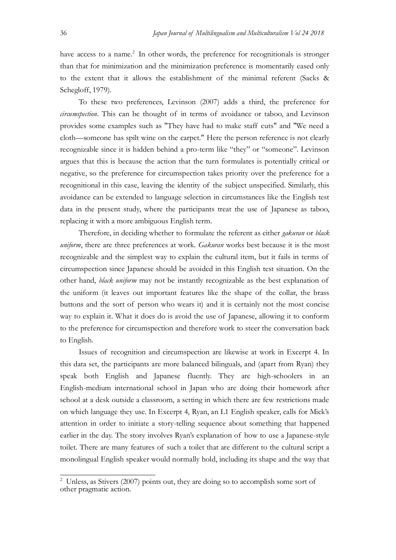have access to a name.<sup>2</sup> In other words, the preference for recognitionals is stronger than that for minimization and the minimization preference is momentarily eased only to the extent that it allows the establishment of the minimal referent (Sacks & Schegloff, 1979).

To these two preferences, Levinson (2007) adds a third, the preference for circumspection. This can be thought of in terms of avoidance or taboo, and Levinson provides some examples such as "They have had to make staff cuts" and "We need a cloth—someone has spilt wine on the carpet." Here the person reference is not clearly recognizable since it is hidden behind a pro-term like "they" or "someone". Levinson argues that this is because the action that the turn formulates is potentially critical or negative, so the preference for circumspection takes priority over the preference for a recognitional in this case, leaving the identity of the subject unspecified. Similarly, this avoidance can be extended to language selection in circumstances like the English test data in the present study, where the participants treat the use of Japanese as taboo, replacing it with a more ambiguous English term.

Therefore, in deciding whether to formulate the referent as either *gakuran* or *black* uniform, there are three preferences at work. Gakuran works best because it is the most recognizable and the simplest way to explain the cultural item, but it fails in terms of circumspection since Japanese should be avoided in this English test situation. On the other hand, black uniform may not be instantly recognizable as the best explanation of the uniform (it leaves out important features like the shape of the collar, the brass buttons and the sort of person who wears it) and it is certainly not the most concise way to explain it. What it does do is avoid the use of Japanese, allowing it to conform to the preference for circumspection and therefore work to steer the conversation back to English.

Issues of recognition and circumspection are likewise at work in Excerpt 4. In this data set, the participants are more balanced bilinguals, and (apart from Ryan) they speak both English and Japanese fluently. They are high-schoolers in an English-medium international school in Japan who are doing their homework after school at a desk outside a classroom, a setting in which there are few restrictions made on which language they use. In Excerpt 4, Ryan, an L1 English speaker, calls for Mick's attention in order to initiate a story-telling sequence about something that happened earlier in the day. The story involves Ryan's explanation of how to use a Japanese-style toilet. There are many features of such a toilet that are different to the cultural script a monolingual English speaker would normally hold, including its shape and the way that

<sup>&</sup>lt;sup>2</sup> Unless, as Stivers (2007) points out, they are doing so to accomplish some sort of other pragmatic action.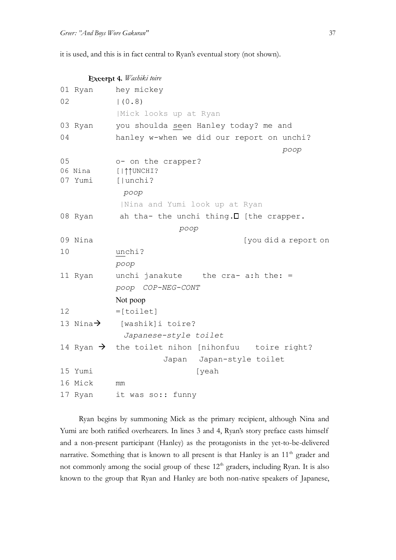it is used, and this is in fact central to Ryan's eventual story (not shown).

|    | Excerpt 4. Washiki toire |                                                               |  |  |  |  |  |
|----|--------------------------|---------------------------------------------------------------|--|--|--|--|--|
|    | 01 Ryan                  | hey mickey                                                    |  |  |  |  |  |
| 02 |                          | (0.8)                                                         |  |  |  |  |  |
|    |                          | Mick looks up at Ryan                                         |  |  |  |  |  |
|    | 03 Ryan                  | you shoulda seen Hanley today? me and                         |  |  |  |  |  |
| 04 |                          | hanley w-when we did our report on unchi?                     |  |  |  |  |  |
|    |                          | poop                                                          |  |  |  |  |  |
| 05 |                          | o- on the crapper?                                            |  |  |  |  |  |
|    | 06 Nina<br>07 Yumi       | [   1   UNCHI?<br>[ unchi?                                    |  |  |  |  |  |
|    | poop                     |                                                               |  |  |  |  |  |
|    |                          | Nina and Yumi look up at Ryan                                 |  |  |  |  |  |
|    | 08 Ryan                  | ah tha- the unchi thing. I [the crapper.                      |  |  |  |  |  |
|    | poop                     |                                                               |  |  |  |  |  |
|    | 09 Nina                  | [you did a report on                                          |  |  |  |  |  |
| 10 |                          | unchi?                                                        |  |  |  |  |  |
|    |                          | poop                                                          |  |  |  |  |  |
|    | 11 Ryan                  | unchi janakute the cra- a:h the: =                            |  |  |  |  |  |
|    |                          | poop COP-NEG-CONT                                             |  |  |  |  |  |
|    |                          | Not poop                                                      |  |  |  |  |  |
| 12 |                          | $=[toilet]$                                                   |  |  |  |  |  |
|    |                          | 13 Nina $\rightarrow$ [washik]i toire?                        |  |  |  |  |  |
|    |                          | Japanese-style toilet                                         |  |  |  |  |  |
|    |                          | 14 Ryan $\rightarrow$ the toilet nihon [nihonfuu toire right? |  |  |  |  |  |
|    |                          | Japan Japan-style toilet                                      |  |  |  |  |  |
|    | 15 Yumi                  | [yeah                                                         |  |  |  |  |  |
|    | 16 Mick                  | mm                                                            |  |  |  |  |  |
|    | 17 Ryan                  | it was so:: funny                                             |  |  |  |  |  |

Ryan begins by summoning Mick as the primary recipient, although Nina and Yumi are both ratified overhearers. In lines 3 and 4, Ryan's story preface casts himself and a non-present participant (Hanley) as the protagonists in the yet-to-be-delivered narrative. Something that is known to all present is that Hanley is an  $11<sup>th</sup>$  grader and not commonly among the social group of these 12<sup>th</sup> graders, including Ryan. It is also known to the group that Ryan and Hanley are both non-native speakers of Japanese,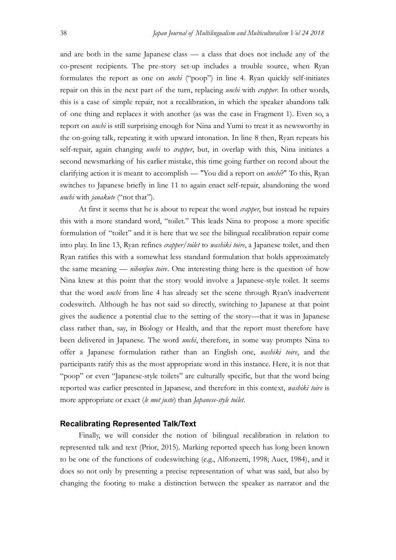and are both in the same Japanese class — a class that does not include any of the co-present recipients. The pre-story set-up includes a trouble source, when Ryan formulates the report as one on *unchi* ("poop") in line 4. Ryan quickly self-initiates repair on this in the next part of the turn, replacing *unchi* with *crapper*. In other words, this is a case of simple repair, not a recalibration, in which the speaker abandons talk of one thing and replaces it with another (as was the case in Fragment 1). Even so, a report on *unchi* is still surprising enough for Nina and Yumi to treat it as newsworthy in the on-going talk, repeating it with upward intonation. In line 8 then, Ryan repeats his self-repair, again changing *unchi* to *crapper*, but, in overlap with this, Nina initiates a second newsmarking of his earlier mistake, this time going further on record about the clarifying action it is meant to accomplish — "You did a report on *unchi*?" To this, Ryan switches to Japanese briefly in line 11 to again enact self-repair, abandoning the word unchi with janakute ("not that").

At first it seems that he is about to repeat the word *crapper*, but instead he repairs this with a more standard word, "toilet." This leads Nina to propose a more specific formulation of "toilet" and it is here that we see the bilingual recalibration repair come into play. In line 13, Ryan refines *crapper/toilet* to *washiki toire*, a Japanese toilet, and then Ryan ratifies this with a somewhat less standard formulation that holds approximately the same meaning — *nihonfuu toire*. One interesting thing here is the question of how Nina knew at this point that the story would involve a Japanese-style toilet. It seems that the word *unchi* from line 4 has already set the scene through Ryan's inadvertent codeswitch. Although he has not said so directly, switching to Japanese at that point gives the audience a potential clue to the setting of the story—that it was in Japanese class rather than, say, in Biology or Health, and that the report must therefore have been delivered in Japanese. The word *unchi*, therefore, in some way prompts Nina to offer a Japanese formulation rather than an English one, washiki toire, and the participants ratify this as the most appropriate word in this instance. Here, it is not that "poop" or even "Japanese-style toilets" are culturally specific, but that the word being reported was earlier presented in Japanese, and therefore in this context, washiki toire is more appropriate or exact (le mot juste) than Japanese-style toilet.

#### **Recalibrating Represented Talk/Text**

Finally, we will consider the notion of bilingual recalibration in relation to represented talk and text (Prior, 2015). Marking reported speech has long been known to be one of the functions of codeswitching (e.g., Alfonzetti, 1998; Auer, 1984), and it does so not only by presenting a precise representation of what was said, but also by changing the footing to make a distinction between the speaker as narrator and the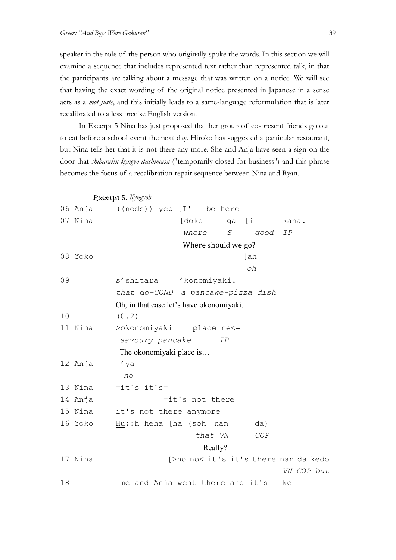speaker in the role of the person who originally spoke the words. In this section we will examine a sequence that includes represented text rather than represented talk, in that the participants are talking about a message that was written on a notice. We will see that having the exact wording of the original notice presented in Japanese in a sense acts as a *mot juste*, and this initially leads to a same-language reformulation that is later recalibrated to a less precise English version.

In Excerpt 5 Nina has just proposed that her group of co-present friends go out to eat before a school event the next day. Hiroko has suggested a particular restaurant, but Nina tells her that it is not there any more. She and Anja have seen a sign on the door that *shibaraku kyugyo itashimasu* ("temporarily closed for business") and this phrase becomes the focus of a recalibration repair sequence between Nina and Ryan.

Excerpt 5. Kyugyoh 06 Anja ((nods)) yep [I'll be here 07 Nina [doko ga [ii kana. where S good IP Where should we go? 08 Yoko [ah oh 09 s'shitara 'konomiyaki. that do-COND a pancake-pizza dish Oh, in that case let's have okonomiyaki. 10 (0.2) 11 Nina >okonomiyaki place ne<= savoury pancake IP The okonomiyaki place is… 12 Anja  $=$ 'ya= no 13 Nina  $=$ it's it's= 14 Anja  $=$ it's not there 15 Nina it's not there anymore 16 Yoko Hu::h heha [ha (soh nan da) that VN COP Really? 17 Nina [>no no< it's it's there nan da kedo VN COP but 18 | me and Anja went there and it's like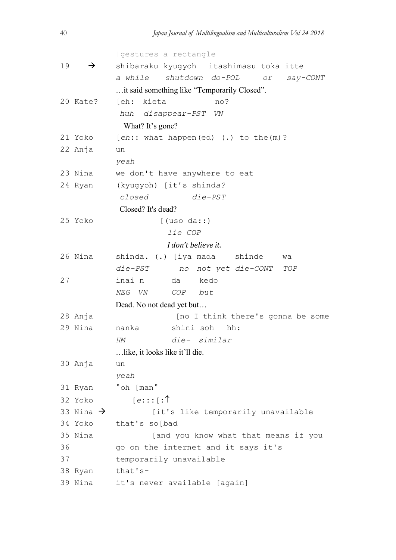```
|gestures a rectangle
19 \rightarrow shibaraku kyugyoh itashimasu toka itte
           a while shutdown do-POL or say-CONT
          …it said something like "Temporarily Closed".
20 Kate? [eh: kieta no?
           huh disappear-PST VN
            What? It's gone?
21 Yoko [eh:: what happen(ed) (.) to the(m)?
22 Anja un
          yeah
23 Nina we don't have anywhere to eat
24 Ryan (kyugyoh) [it's shinda?
           closed die-PST
           Closed? It's dead?
25 Yoko [(uso da::)
                      lie COP
                    I don't believe it.
26 Nina shinda. (.) [iya mada shinde wa 
          die-PST no not yet die-CONT TOP
27 inai n da kedo
          NEG VN COP but
          Dead. No not dead yet but…
28 Anja [no I think there's gonna be some
29 Nina nanka shini soh hh:
          HM die- similar
          …like, it looks like it'll die.
30 Anja un
          yeah
31 Ryan °oh [man°
32 Yoko [e:::[:{\uparrow}<br>33 Nina \rightarrow [it'
                  [it's like temporarily unavailable
34 Yoko that's so[bad
35 Nina [and you know what that means if you 
36 go on the internet and it says it's 
37 temporarily unavailable
38 Ryan that's-
39 Nina it's never available [again]
```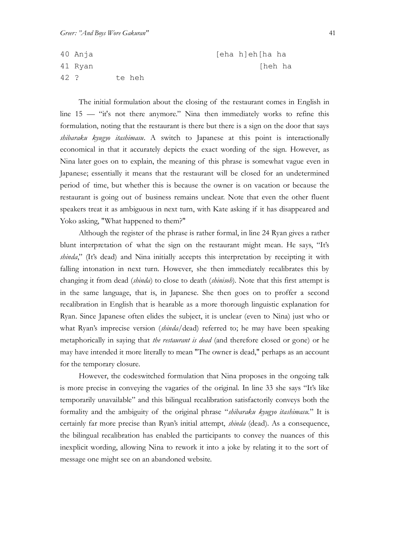```
40 Anja [eha h]eh[ha ha
41 Ryan [heh ha
42 ? te heh
```
The initial formulation about the closing of the restaurant comes in English in line 15 — "it's not there anymore." Nina then immediately works to refine this formulation, noting that the restaurant is there but there is a sign on the door that says  $shibaraku$  kyugyo *itashimasu*. A switch to Japanese at this point is interactionally economical in that it accurately depicts the exact wording of the sign. However, as Nina later goes on to explain, the meaning of this phrase is somewhat vague even in Japanese; essentially it means that the restaurant will be closed for an undetermined period of time, but whether this is because the owner is on vacation or because the restaurant is going out of business remains unclear. Note that even the other fluent speakers treat it as ambiguous in next turn, with Kate asking if it has disappeared and Yoko asking, "What happened to them?"

Although the register of the phrase is rather formal, in line 24 Ryan gives a rather blunt interpretation of what the sign on the restaurant might mean. He says, "It's shinda," (It's dead) and Nina initially accepts this interpretation by receipting it with falling intonation in next turn. However, she then immediately recalibrates this by changing it from dead *(shinda)* to close to death *(shinisoh*). Note that this first attempt is in the same language, that is, in Japanese. She then goes on to proffer a second recalibration in English that is hearable as a more thorough linguistic explanation for Ryan. Since Japanese often elides the subject, it is unclear (even to Nina) just who or what Ryan's imprecise version *(shinda/dead)* referred to; he may have been speaking metaphorically in saying that *the restaurant is dead* (and therefore closed or gone) or he may have intended it more literally to mean "The owner is dead," perhaps as an account for the temporary closure.

However, the codeswitched formulation that Nina proposes in the ongoing talk is more precise in conveying the vagaries of the original. In line 33 she says "It's like temporarily unavailable" and this bilingual recalibration satisfactorily conveys both the formality and the ambiguity of the original phrase "shibaraku kyugyo itashimasu." It is certainly far more precise than Ryan's initial attempt, shinda (dead). As a consequence, the bilingual recalibration has enabled the participants to convey the nuances of this inexplicit wording, allowing Nina to rework it into a joke by relating it to the sort of message one might see on an abandoned website.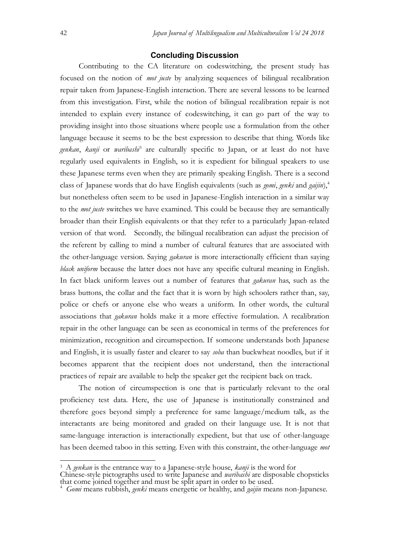#### **Concluding Discussion**

Contributing to the CA literature on codeswitching, the present study has focused on the notion of mot juste by analyzing sequences of bilingual recalibration repair taken from Japanese-English interaction. There are several lessons to be learned from this investigation. First, while the notion of bilingual recalibration repair is not intended to explain every instance of codeswitching, it can go part of the way to providing insight into those situations where people use a formulation from the other language because it seems to be the best expression to describe that thing. Words like genkan, kanji or waribashi<sup>3</sup> are culturally specific to Japan, or at least do not have regularly used equivalents in English, so it is expedient for bilingual speakers to use these Japanese terms even when they are primarily speaking English. There is a second class of Japanese words that do have English equivalents (such as *gomi*, *genki* and *gaijin*),<sup>4</sup> but nonetheless often seem to be used in Japanese-English interaction in a similar way to the *mot juste* switches we have examined. This could be because they are semantically broader than their English equivalents or that they refer to a particularly Japan-related version of that word. Secondly, the bilingual recalibration can adjust the precision of the referent by calling to mind a number of cultural features that are associated with the other-language version. Saying *gakuran* is more interactionally efficient than saying black uniform because the latter does not have any specific cultural meaning in English. In fact black uniform leaves out a number of features that gakuran has, such as the brass buttons, the collar and the fact that it is worn by high schoolers rather than, say, police or chefs or anyone else who wears a uniform. In other words, the cultural associations that gakuran holds make it a more effective formulation. A recalibration repair in the other language can be seen as economical in terms of the preferences for minimization, recognition and circumspection. If someone understands both Japanese and English, it is usually faster and clearer to say soba than buckwheat noodles, but if it becomes apparent that the recipient does not understand, then the interactional practices of repair are available to help the speaker get the recipient back on track.

The notion of circumspection is one that is particularly relevant to the oral proficiency test data. Here, the use of Japanese is institutionally constrained and therefore goes beyond simply a preference for same language/medium talk, as the interactants are being monitored and graded on their language use. It is not that same-language interaction is interactionally expedient, but that use of other-language has been deemed taboo in this setting. Even with this constraint, the other-language mot

 $\frac{3}{3}$  A genkan is the entrance way to a Japanese-style house, kanji is the word for

Chinese-style pictographs used to write Japanese and waribashi are disposable chopsticks that come joined together and must be split apart in order to be used.

 $4$  Gomi means rubbish, genki means energetic or healthy, and gaijin means non-Japanese.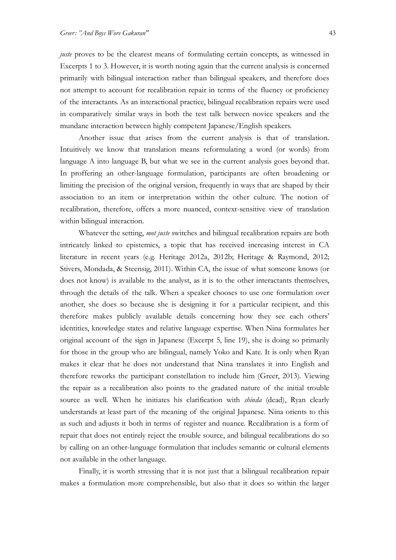juste proves to be the clearest means of formulating certain concepts, as witnessed in Excerpts 1 to 3. However, it is worth noting again that the current analysis is concerned primarily with bilingual interaction rather than bilingual speakers, and therefore does not attempt to account for recalibration repair in terms of the fluency or proficiency of the interactants. As an interactional practice, bilingual recalibration repairs were used in comparatively similar ways in both the test talk between novice speakers and the mundane interaction between highly competent Japanese/English speakers.

Another issue that arises from the current analysis is that of translation. Intuitively we know that translation means reformulating a word (or words) from language A into language B, but what we see in the current analysis goes beyond that. In proffering an other-language formulation, participants are often broadening or limiting the precision of the original version, frequently in ways that are shaped by their association to an item or interpretation within the other culture. The notion of recalibration, therefore, offers a more nuanced, context-sensitive view of translation within bilingual interaction.

Whatever the setting, *mot juste* switches and bilingual recalibration repairs are both intricately linked to epistemics, a topic that has received increasing interest in CA literature in recent years (e.g. Heritage 2012a, 2012b; Heritage & Raymond, 2012; Stivers, Mondada, & Steensig, 2011). Within CA, the issue of what someone knows (or does not know) is available to the analyst, as it is to the other interactants themselves, through the details of the talk. When a speaker chooses to use one formulation over another, she does so because she is designing it for a particular recipient, and this therefore makes publicly available details concerning how they see each others' identities, knowledge states and relative language expertise. When Nina formulates her original account of the sign in Japanese (Excerpt 5, line 19), she is doing so primarily for those in the group who are bilingual, namely Yoko and Kate. It is only when Ryan makes it clear that he does not understand that Nina translates it into English and therefore reworks the participant constellation to include him (Greer, 2013). Viewing the repair as a recalibration also points to the gradated nature of the initial trouble source as well. When he initiates his clarification with *shinda* (dead), Ryan clearly understands at least part of the meaning of the original Japanese. Nina orients to this as such and adjusts it both in terms of register and nuance. Recalibration is a form of repair that does not entirely reject the trouble source, and bilingual recalibrations do so by calling on an other-language formulation that includes semantic or cultural elements not available in the other language.

Finally, it is worth stressing that it is not just that a bilingual recalibration repair makes a formulation more comprehensible, but also that it does so within the larger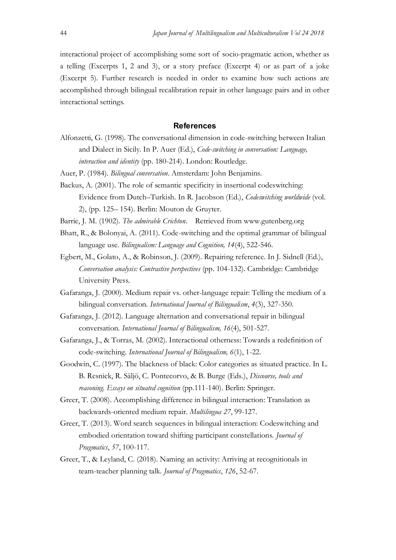interactional project of accomplishing some sort of socio-pragmatic action, whether as a telling (Excerpts 1, 2 and 3), or a story preface (Excerpt 4) or as part of a joke (Excerpt 5). Further research is needed in order to examine how such actions are accomplished through bilingual recalibration repair in other language pairs and in other interactional settings.

#### **References**

- Alfonzetti, G. (1998). The conversational dimension in code-switching between Italian and Dialect in Sicily. In P. Auer (Ed.), Code-switching in conversation: Language, interaction and identity (pp. 180-214). London: Routledge.
- Auer, P. (1984). Bilingual conversation. Amsterdam: John Benjamins.
- Backus, A. (2001). The role of semantic specificity in insertional codeswitching: Evidence from Dutch–Turkish. In R. Jacobson (Ed.), Codeswitching worldwide (vol. 2), (pp. 125– 154). Berlin: Mouton de Gruyter.
- Barrie, J. M. (1902). The admirable Crichton. Retrieved from www.gutenberg.org
- Bhatt, R., & Bolonyai, A. (2011). Code-switching and the optimal grammar of bilingual language use. Bilingualism: Language and Cognition, 14(4), 522-546.
- Egbert, M., Golato, A., & Robinson, J. (2009). Repairing reference. In J. Sidnell (Ed.), Conversation analysis: Contrastive perspectives (pp. 104-132). Cambridge: Cambridge University Press.
- Gafaranga, J. (2000). Medium repair vs. other-language repair: Telling the medium of a bilingual conversation. *International Journal of Bilingualism*, 4(3), 327-350.
- Gafaranga, J. (2012). Language alternation and conversational repair in bilingual conversation. International Journal of Bilingualism, 16(4), 501-527.
- Gafaranga, J., & Torras, M. (2002). Interactional otherness: Towards a redefinition of code-switching. International Journal of Bilingualism, 6(1), 1-22.
- Goodwin, C. (1997). The blackness of black: Color categories as situated practice. In L. B. Resnick, R. Säljö, C. Pontecorvo, & B. Burge (Eds.), Discourse, tools and reasoning. Essays on situated cognition (pp.111-140). Berlin: Springer.
- Greer, T. (2008). Accomplishing difference in bilingual interaction: Translation as backwards-oriented medium repair. Multilingua 27, 99-127.
- Greer, T. (2013). Word search sequences in bilingual interaction: Codeswitching and embodied orientation toward shifting participant constellations. Journal of Pragmatics, 57, 100-117.
- Greer, T., & Leyland, C. (2018). Naming an activity: Arriving at recognitionals in team-teacher planning talk. Journal of Pragmatics, 126, 52-67.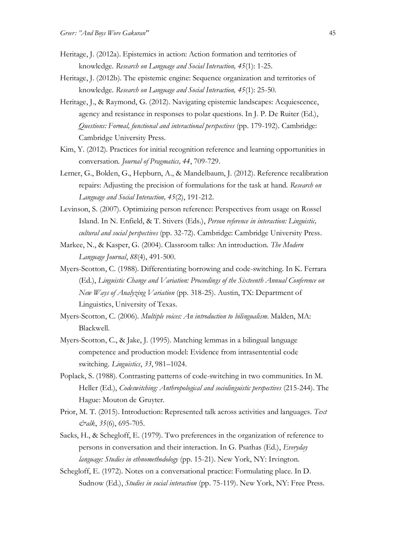- Heritage, J. (2012a). Epistemics in action: Action formation and territories of knowledge. Research on Language and Social Interaction, 45(1): 1-25.
- Heritage, J. (2012b). The epistemic engine: Sequence organization and territories of knowledge. Research on Language and Social Interaction, 45(1): 25-50.
- Heritage, J., & Raymond, G. (2012). Navigating epistemic landscapes: Acquiescence, agency and resistance in responses to polar questions. In J. P. De Ruiter (Ed.), Questions: Formal, functional and interactional perspectives (pp. 179-192). Cambridge: Cambridge University Press.
- Kim, Y. (2012). Practices for initial recognition reference and learning opportunities in conversation. Journal of Pragmatics, 44, 709-729.
- Lerner, G., Bolden, G., Hepburn, A., & Mandelbaum, J. (2012). Reference recalibration repairs: Adjusting the precision of formulations for the task at hand. Research on Language and Social Interaction, 45(2), 191-212.
- Levinson, S. (2007). Optimizing person reference: Perspectives from usage on Rossel Island. In N. Enfield, & T. Stivers (Eds.), Person reference in interaction: Linguistic, cultural and social perspectives (pp. 32-72). Cambridge: Cambridge University Press.
- Markee, N., & Kasper, G. (2004). Classroom talks: An introduction. The Modern Language Journal, 88(4), 491-500.
- Myers-Scotton, C. (1988). Differentiating borrowing and code-switching. In K. Ferrara (Ed.), Linguistic Change and Variation: Proceedings of the Sixteenth Annual Conference on New Ways of Analyzing Variation (pp. 318-25). Austin, TX: Department of Linguistics, University of Texas.
- Myers-Scotton, C. (2006). Multiple voices: An introduction to bilingualism. Malden, MA: Blackwell.
- Myers-Scotton, C., & Jake, J. (1995). Matching lemmas in a bilingual language competence and production model: Evidence from intrasentential code switching. Linguistics, 33, 981–1024.
- Poplack, S. (1988). Contrasting patterns of code-switching in two communities. In M. Heller (Ed.), *Codeswitching: Anthropological and sociolinguistic perspectives* (215-244). The Hague: Mouton de Gruyter.
- Prior, M. T. (2015). Introduction: Represented talk across activities and languages. Text &alk, 35(6), 695-705.
- Sacks, H., & Schegloff, E. (1979). Two preferences in the organization of reference to persons in conversation and their interaction. In G. Psathas (Ed.), Everyday language: Studies in ethnomethodology (pp. 15-21). New York, NY: Irvington.
- Schegloff, E. (1972). Notes on a conversational practice: Formulating place. In D. Sudnow (Ed.), Studies in social interaction (pp. 75-119). New York, NY: Free Press.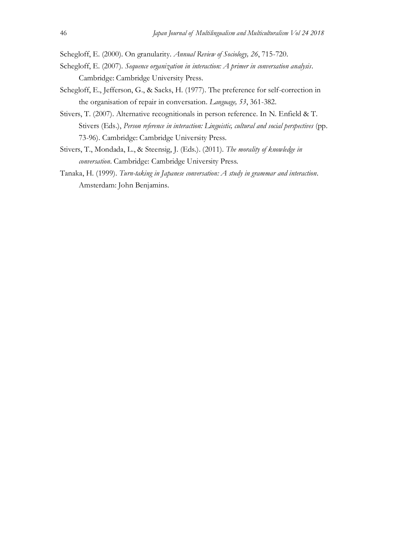Schegloff, E. (2000). On granularity. Annual Review of Sociology, 26, 715-720.

- Schegloff, E. (2007). Sequence organization in interaction: A primer in conversation analysis. Cambridge: Cambridge University Press.
- Schegloff, E., Jefferson, G., & Sacks, H. (1977). The preference for self-correction in the organisation of repair in conversation. Language, 53, 361-382.
- Stivers, T. (2007). Alternative recognitionals in person reference. In N. Enfield & T. Stivers (Eds.), Person reference in interaction: Linguistic, cultural and social perspectives (pp. 73-96). Cambridge: Cambridge University Press.
- Stivers, T., Mondada, L., & Steensig, J. (Eds.). (2011). The morality of knowledge in conversation. Cambridge: Cambridge University Press.
- Tanaka, H. (1999). Turn-taking in Japanese conversation: A study in grammar and interaction. Amsterdam: John Benjamins.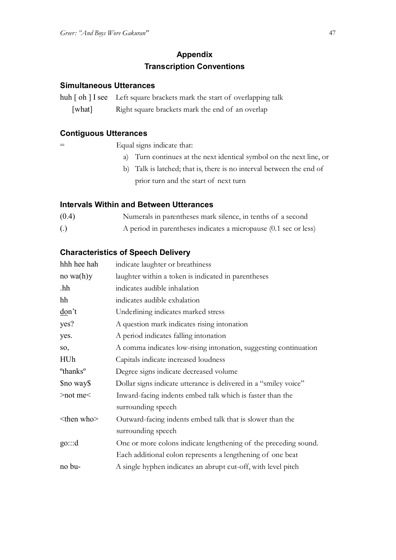## **Appendix Transcription Conventions**

### **Simultaneous Utterances**

huh [ oh ] I see Left square brackets mark the start of overlapping talk [what] Right square brackets mark the end of an overlap

### **Contiguous Utterances**

= Equal signs indicate that:

- a) Turn continues at the next identical symbol on the next line, or
- b) Talk is latched; that is, there is no interval between the end of prior turn and the start of next turn

### **Intervals Within and Between Utterances**

- (0.4) Numerals in parentheses mark silence, in tenths of a second
- (.) A period in parentheses indicates a micropause (0.1 sec or less)

### **Characteristics of Speech Delivery**

| indicate laughter or breathiness                                 |  |  |  |  |  |
|------------------------------------------------------------------|--|--|--|--|--|
| laughter within a token is indicated in parentheses              |  |  |  |  |  |
| indicates audible inhalation                                     |  |  |  |  |  |
| indicates audible exhalation                                     |  |  |  |  |  |
| Underlining indicates marked stress                              |  |  |  |  |  |
| A question mark indicates rising intonation                      |  |  |  |  |  |
| A period indicates falling intonation                            |  |  |  |  |  |
| A comma indicates low-rising intonation, suggesting continuation |  |  |  |  |  |
| Capitals indicate increased loudness                             |  |  |  |  |  |
| Degree signs indicate decreased volume                           |  |  |  |  |  |
| Dollar signs indicate utterance is delivered in a "smiley voice" |  |  |  |  |  |
| Inward-facing indents embed talk which is faster than the        |  |  |  |  |  |
| surrounding speech                                               |  |  |  |  |  |
| Outward-facing indents embed talk that is slower than the        |  |  |  |  |  |
| surrounding speech                                               |  |  |  |  |  |
| One or more colons indicate lengthening of the preceding sound.  |  |  |  |  |  |
| Each additional colon represents a lengthening of one beat       |  |  |  |  |  |
| A single hyphen indicates an abrupt cut-off, with level pitch    |  |  |  |  |  |
|                                                                  |  |  |  |  |  |